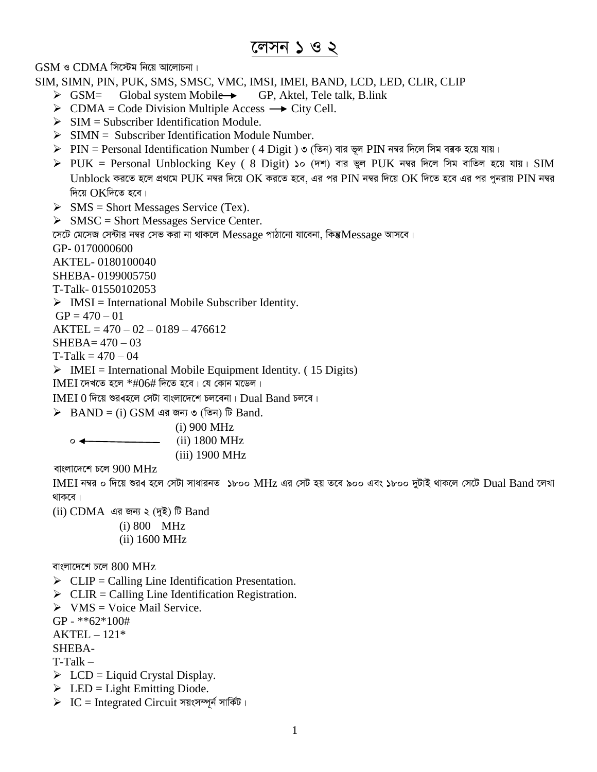# লেসন ১ ও ২

 $GSM$  ও  $CDMA$  সিস্টেম নিয়ে আলোচনা।

SIM, SIMN, PIN, PUK, SMS, SMSC, VMC, IMSI, IMEI, BAND, LCD, LED, CLIR, CLIP

- $\triangleright$  GSM= Global system Mobile  $\rightarrow$  GP, Aktel, Tele talk, B.link
- $\triangleright$  CDMA = Code Division Multiple Access  $\rightarrow$  City Cell.
- $\triangleright$  SIM = Subscriber Identification Module.
- $\triangleright$  SIMN = Subscriber Identification Module Number.
- $\rho$  PIN = Personal Identification Number ( 4 Digit ) ৩ (তিন) বার ভূল PIN নম্বর দিলে সিম বৰক হয়ে যায়।
- $\triangleright$  PUK = Personal Unblocking Key ( 8 Digit) ১০ (দশ) বার ভুল PUK নম্বর দিলে সিম বাতিল হয়ে যায়। SIM  $U$ nblock করতে হলে প্রথমে PUK নম্বর দিয়ে OK করতে হবে, এর পর PIN নম্বর দিয়ে OK দিতে হবে এর পর পনরায় PIN নম্বর দিয়ে  $OK$ দিতে হবে।
- $\triangleright$  SMS = Short Messages Service (Tex).

 $\triangleright$  SMSC = Short Messages Service Center.

সেটে মেসেজ সেন্টার নম্বর সেভ করা না থাকলে  ${\rm Message}$  পাঠানো যাবেনা, কিন্তু ${\rm Message}$  আসবে।

GP- 0170000600

AKTEL- 0180100040

SHEBA- 0199005750

T-Talk- 01550102053

 $\triangleright$  IMSI = International Mobile Subscriber Identity.

 $GP = 470 - 01$ 

 $AKTEL = 470 - 02 - 0189 - 476612$ 

 $SHEBA = 470 - 03$ 

 $T-Talk = 470 - 04$ 

 $\triangleright$  IMEI = International Mobile Equipment Identity. (15 Digits)

 $IMEI$  দেখতে হলে  $*#06#$  দিতে হবে। যে কোন মডেল।

 $IMEI$   $0$  দিয়ে শুর $\blacktriangleleft$ ল সেটা বাংলাদেশে চলবেনা।  $Dual$  Band চলবে।

 $\triangleright$  BAND = (i) GSM এর জন্য ৩ (তিন) টি Band.

(i) 900 MHz  $\circ \leftarrow$  (ii) 1800 MHz (iii) 1900 MHz

বাংলাদেশে চলে  $900$  MHz

IMEI নম্বর ০ দিয়ে শুরব হলে সেটা সাধারনত ১৮০০ MHz এর সেট হয় তবে ৯০০ এবং ১৮০০ দুটাই থাকলে সেটে Dual Band লেখা থাকবে।

(ii) CDMA এর জন্য ২ (দুই) টি Band (i) 800 MHz

(ii) 1600 MHz

বাংলাদেশে চলে  $800$  MHz

- $\triangleright$  CLIP = Calling Line Identification Presentation.
- $\triangleright$  CLIR = Calling Line Identification Registration.
- $\triangleright$  VMS = Voice Mail Service.

GP - \*\*62\*100#

 $AKTEL - 121*$ 

SHEBA-

T-Talk –

- $\triangleright$  LCD = Liquid Crystal Display.
- $\triangleright$  LED = Light Emitting Diode.
- $\triangleright$  IC = Integrated Circuit সয়ংসম্পূৰ্ন সাৰ্কিট।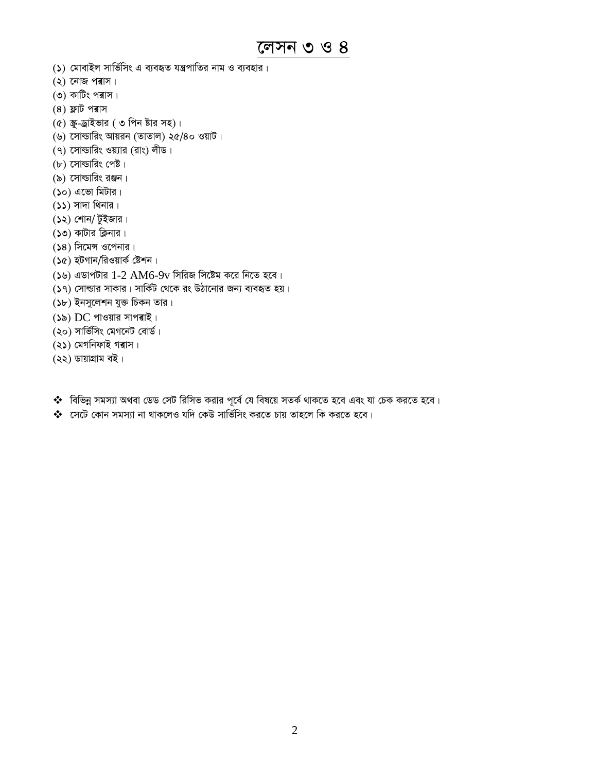লেসন ৩ ও ৪

- (১) মোবাইল সার্ভিসিং এ ব্যবহৃত যন্ত্রপাতির নাম ও ব্যবহার।
- $(2)$  নোজ পৰাস।
- (৩) কাটিং পৰাস।
- $(8)$  ফ্লাট পৰাস
- (৫) স্ক্রু-ড্রাইভার (৩ পিন ষ্টার সহ)।
- (৬) সোল্ডারিং আয়রন (তাতাল) ২৫/৪০ ওয়াট।
- (৭) সোল্ডারিং ওয়্যার (রাং) লীড।
- $(b)$  সোল্ডারিং পেষ্ট।
- (৯) সোল্ডারিং রঞ্জন।
- $($ ১০) এভো মিটার।
- $(55)$  সাদা থিনার।
- (১২) শোন/ টুইজার।
- (১৩) কাটার ক্লিনার।
- (১৪) সিমেন্স ওপেনার।
- (১৫) হটগান/রিওয়ার্ক ষ্টেশন।
- (১৬) এডাপটার 1-2 AM6-9v সিরিজ সিষ্টেম করে নিতে হবে।
- (১৭) সোল্ডার সাকার। সার্কিট থেকে রং উঠানোর জন্য ব্যবহৃত হয়।
- (১৮) ইনসুলেশন যুক্ত চিকন তার।
- (১৯) DC পাওয়ার সাপৰাই।
- (২০) সার্ভিসিং মেগনেট বোর্ড।
- (২১) মেগনিফাই গৰাস।
- (২২) ডায়াগ্রাম বই।
- $\clubsuit$  বিভিন্ন সমস্যা অথবা ডেড সেট রিসিভ করার পূর্বে যে বিষয়ে সতর্ক থাকতে হবে এবং যা চেক করতে হবে।
- $\clubsuit$  সেটে কোন সমস্যা না থাকলেও যদি কেউ সার্ভিসিং করতে চায় তাহলে কি করতে হবে।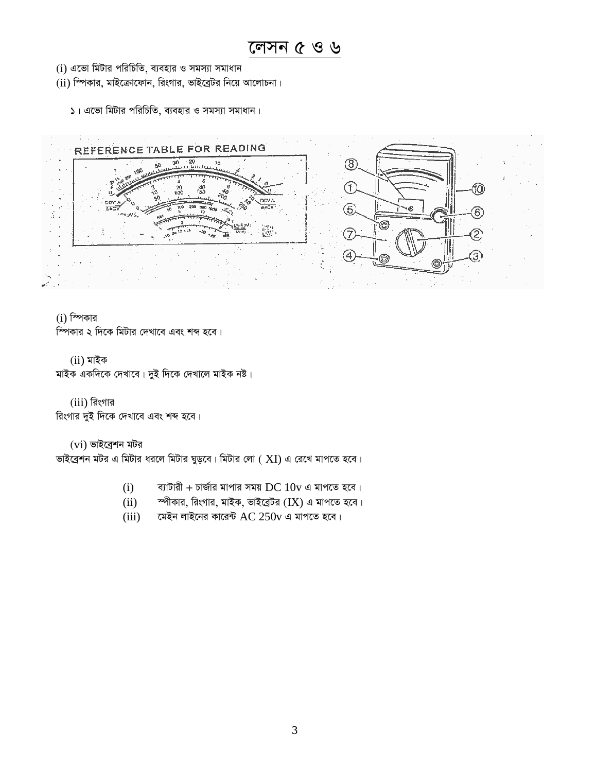### লেসন $6$  ও ৬

- $(i)$  এন্ডো মিটার পরিচিতি, ব্যবহার ও সমস্যা সমাধান
- $(ii)$  স্পিকার, মাইক্রোফোন, রিংগার, ভাইব্রেটর নিয়ে আলোচনা।

 $5$ । এভো মিটার পরিচিতি, ব্যবহার ও সমস্যা সমাধান।



 $(i)$  স্পিকার

স্পিকার ২ দিকে মিটার দেখাবে এবং শব্দ হবে।

 $(ii)$  মাইক

মাইক একদিকে দেখাবে। দুই দিকে দেখালে মাইক নষ্ট।

 $(iii)$  রিংগার রিংগার দুই দিকে দেখাবে এবং শব্দ হবে।

 $(vi)$  ভাইব্ৰেশন মটর

ভাইব্রেশন মটর এ মিটার ধরলে মিটার ঘুড়বে। মিটার লো ( $\rm XI$ ) এ রেখে মাপতে হবে।

- $(i)$  ব্যাটারী + চার্জার মাপার সময় DC  $10v$  এ মাপতে হবে।
- $(iii)$  শ্পীকার, রিংগার, মাইক, ভাইব্রেটর  $(IX)$  এ মাপতে হবে।
- (iii) মেইন লাইনের কারেন্ট  $AC 250v$  এ মাপতে হবে।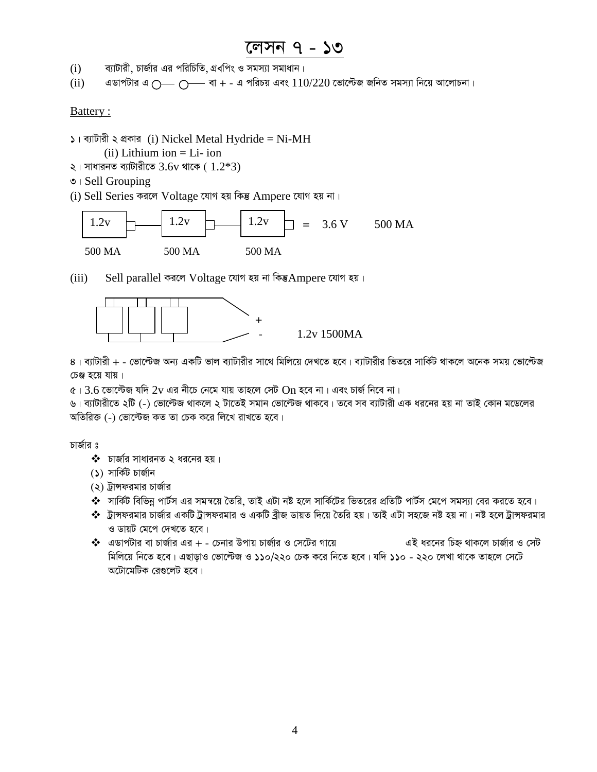### লেসন ৭ - ১৩

- $(i)$  ব্যাটারী, চার্জার এর পরিচিতি, গ্রবপিং ও সমস্যা সমাধান।
- $(iii)$  এডাপটার এ ্রিঞ্জ বা + এ পরিচয় এবং  $110/220$  ভোল্টেজ জনিত সমস্যা নিয়ে আলোচনা।

#### Battery :

 $\Box$ । ব্যাটারী ২ প্রকার (i) Nickel Metal Hydride = Ni-MH

 $(ii)$  Lithium ion  $=$  Li- ion

- $\lambda$ । সাধারনত ব্যাটারীতে  $3.6v$  থাকে (  $1.2*3$ )
- $\circ$  | Sell Grouping
- (i) Sell Series করলে Voltage যোগ হয় কিন্তু Ampere যোগ হয় না।



(iii) Sell parallel করলে  $Voltag$ e যোগ হয় না কিন্তু $A$ mpere যোগ হয়।



8। ব্যাটারী + - ভোল্টেজ অন্য একটি ভাল ব্যাটারীর সাথে মিলিয়ে দেখতে হবে। ব্যাটারীর ভিতরে সার্কিট থাকলে অনেক সময় ভোল্টেজ চেঞ্জ হয়ে যায়।

 $\epsilon$ ।  $3.6$  ভোল্টেজ যদি  $2$ v এর নীচে নেমে যায় তাহলে সেট  $\rm On$  হবে না। এবং চার্জ নিবে না।

ঙ। ব্যাটারীতে ২টি (-) ভোল্টেজ থাকলে ২ টাতেই সমান ভোল্টেজ থাকবে। তবে সব ব্যাটারী এক ধরনের হয় না তাই কোন মডেলের অতিরিক্ত (-) ভোল্টেজ কত তা চেক করে লিখে রাখতে হবে।

চার্জার ঃ

- $\clubsuit$  চার্জার সাধারনত ২ ধরনের হয়।
- $(5)$  সার্কিট চার্জান
- (২) ট্রান্সফরমার চার্জার
- � সার্কিট বিভিন্ন পার্টস এর সমন্বয়ে তৈরি, তাই এটা নষ্ট হলে সার্কিটের ভিতরের প্রতিটি পার্টস মেপে সমস্যা বের করতে হবে।
- ❖ ট্রান্সফরমার চার্জার একটি ট্রান্সফরমার ও একটি ব্রীজ ডায়ত দিয়ে তৈরি হয়। তাই এটা সহজে নষ্ট হয় না। নষ্ট হলে ট্রান্সফরমার ও ডায়ট মেপে দেখতে হবে।
- $\clubsuit$  এডাপটার বা চার্জার এর + চেনার উপায় চার্জার ও সেটের গায়ে এই ধরনের চিহ্ন থাকলে চার্জার ও সেট মিলিয়ে নিতে হবে। এছাড়াও ভোল্টেজ ও ১১০/২২০ চেক করে নিতে হবে। যদি ১১০ - ২২০ লেখা থাকে তাহলে সেটে অটোমেটিক রেগুলেট হবে।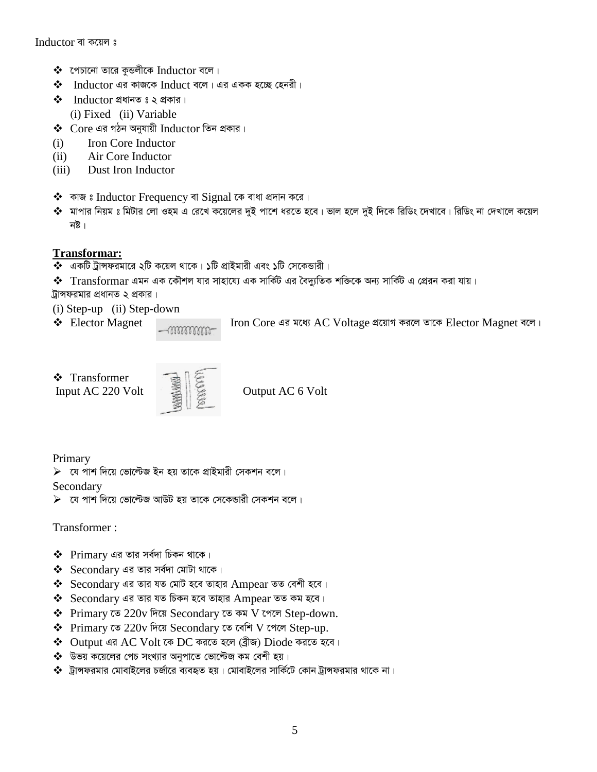- $\clubsuit$  গেচানো তারে কুন্ডলীকে Inductor বলে।
- $\clubsuit$  Inductor এর কাজকে Induct বলে। এর একক হচ্ছে হেনরী।
- $\cdot \cdot$  Inductor প্রধানত ঃ ২ প্রকার। (i) Fixed (ii) Variable
- $\clubsuit$  Core এর গঠন অনুযায়ী Inductor তিন প্রকার।
- (i) Iron Core Inductor
- (ii) Air Core Inductor
- (iii) Dust Iron Inductor
- $\clubsuit$  কাজ ঃ Inductor Frequency বা Signal কে বাধা প্ৰদান করে।
- ❖ মাপার নিয়ম ঃ মিটার লো ওহম এ রেখে কয়েলের দুই পাশে ধরতে হবে। ভাল হলে দুই দিকে রিডিং দেখাবে। রিডিং না দেখালে কয়েল নষ্ট।

### **Transformar:**

- $\clubsuit$  একটি ট্রান্সফরমারে ২টি কয়েল থাকে। ১টি প্রাইমারী এবং ১টি সেকেন্ডারী।
- Transformar Ggb GK ‡KŠkj hvi mvnv‡h¨ GK mvwK©U Gi ˆe`y¨wZK kw³‡K Ab¨ mvwK©U G †cÖib Kiv hvq| ট্রান্সফরমার প্রধানত ২ প্রকার।
- (i) Step-up (ii) Step-down
- 

 $\triangle$  Elector Magnet Iron Core এর মধ্যে AC Voltage প্রয়োগ করলে তাকে Elector Magnet বলে।

Transformer



Input AC 220 Volt  $\mathbb{R} \setminus \mathbb{Z}$  Output AC 6 Volt

Primary

 $\triangleright$  যে পাশ দিয়ে ভোল্টেজ ইন হয় তাকে প্রাইমারী সেকশন বলে।

Secondary

 $\blacktriangleright$  ্যে পাশ দিয়ে ভোল্টেজ আউট হয় তাকে সেকেন্ডারী সেকশন বলে।

Transformer :

- $\clubsuit$  Primary এর তার সর্বদা চিকন থাকে।
- $\clubsuit$  Secondary এর তার সর্বদা মোটা থাকে।
- $\clubsuit$  Secondary এর তার যত মোট হবে তাহার Ampear তত বেশী হবে।
- $\clubsuit$  Secondary এর তার যত চিকন হবে তাহার Ampear তত কম হবে।
- $\triangle$  Primary তে 220v দিয়ে Secondary তে কম V পেলে Step-down.
- $\triangle$  Primary তে 220v দিয়ে Secondary তে বেশি V পেলে Step-up.
- $\clubsuit$  Output এর AC Volt কে DC করতে হলে (ব্রীজ) Diode করতে হবে।
- \* উভয় কয়েলের পেচ সংখ্যার অনুপাতে ভোল্টেজ কম বেশী হয়।
- $\clubsuit$  ট্রান্সফরমার মোবাইলের চর্জারে ব্যবহৃত হয়। মোবাইলের সার্কিটে কোন ট্রান্সফরমার থাকে না।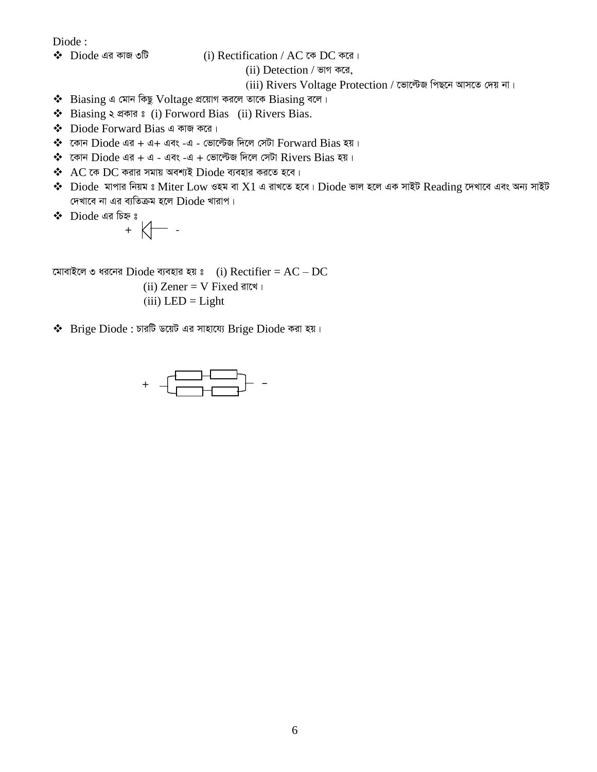Diode :

 $\clubsuit$  Diode এর কাজ ৩টি  $\bullet$  (i) Rectification / AC কে DC করে।

 $(ii)$  Detection / ভাগ করে,

(iii) Rivers Voltage Protection / ভোল্টেজ পিছনে আসতে দেয় না।

- $\triangleleft$  Biasing এ মোন কিছু Voltage প্রয়োগ করলে তাকে Biasing বলে।
- ◆ Biasing ২ প্ৰকার ঃ (i) Forword Bias (ii) Rivers Bias.
- $\div$  Diode Forward Bias এ কাজ করে।
- $*$  কোন  $Di$ ode এর + এ+ এবং -এ ভোল্টেজ দিলে সেটা  $\operatorname{Forward}$   $\operatorname{Bias}$  হয়।
- $\clubsuit$  কোন  $Di$ ode এর + এ এবং -এ + ভোল্টেজ দিলে সেটা  $Rivers$   $Bias$  হয়।
- $\clubsuit$   $\,$  AC কে DC করার সমায় অবশ্যই  $\,$  Diode ব্যবহার করতে হবে।
- $\clubsuit$   $\,$   $\rm Diode \,$  মাপার নিয়ম ঃ  $\rm Miter \, Low \,$ ওহম বা  $\rm X1$  এ রাখতে হবে।  $\rm Diode$  ভাল হলে এক সাইট  $\rm Reading$  দেখাবে এবং অন্য সাইট দেখাবে না এর ব্যতিক্রম হলে  $Diode$  খারাপ।
- $\bullet$  Diode এর চিহ্নঃ

$$
\frac{1}{2} \text{ and } \frac{1}{2} \text{ and } \frac{1}{2} \text{ and } \frac{1}{2} \text{ and } \frac{1}{2} \text{ and } \frac{1}{2} \text{ and } \frac{1}{2} \text{ and } \frac{1}{2} \text{ and } \frac{1}{2} \text{ and } \frac{1}{2} \text{ and } \frac{1}{2} \text{ and } \frac{1}{2} \text{ and } \frac{1}{2} \text{ and } \frac{1}{2} \text{ and } \frac{1}{2} \text{ and } \frac{1}{2} \text{ and } \frac{1}{2} \text{ and } \frac{1}{2} \text{ and } \frac{1}{2} \text{ and } \frac{1}{2} \text{ and } \frac{1}{2} \text{ and } \frac{1}{2} \text{ and } \frac{1}{2} \text{ and } \frac{1}{2} \text{ and } \frac{1}{2} \text{ and } \frac{1}{2} \text{ and } \frac{1}{2} \text{ and } \frac{1}{2} \text{ and } \frac{1}{2} \text{ and } \frac{1}{2} \text{ and } \frac{1}{2} \text{ and } \frac{1}{2} \text{ and } \frac{1}{2} \text{ and } \frac{1}{2} \text{ and } \frac{1}{2} \text{ and } \frac{1}{2} \text{ and } \frac{1}{2} \text{ and } \frac{1}{2} \text{ and } \frac{1}{2} \text{ and } \frac{1}{2} \text{ and } \frac{1}{2} \text{ and } \frac{1}{2} \text{ and } \frac{1}{2} \text{ and } \frac{1}{2} \text{ and } \frac{1}{2} \text{ and } \frac{1}{2} \text{ and } \frac{1}{2} \text{ and } \frac{1}{2} \text{ and } \frac{1}{2} \text{ and } \frac{1}{2} \text{ and } \frac{1}{2} \text{ and } \frac{1}{2} \text{ and } \frac{1}{2} \text{ and } \frac{1}{2} \text{ and } \frac{1}{2} \text{ and } \frac{1}{2} \text{ and } \frac{1}{2} \text{ and } \frac{1}{2} \text{ and } \frac{1}{2} \text{ and } \frac{1}{2} \text{ and } \frac{1}{2} \text{ and } \frac{1}{2} \text{ and } \frac{1}{2} \text{ and } \frac{1
$$

মোবাইলে ৩ ধরনের  $Diode$  ব্যবহার হয় ঃ (i)  $Rectifier = AC - DC$ 

- (ii) Zener =  $V$  Fixed রাখে।
- $(iii)$  LED = Light
- $\cdot \cdot$  Brige Diode : চারটি ডয়েট এর সাহায্যে Brige Diode করা হয়।

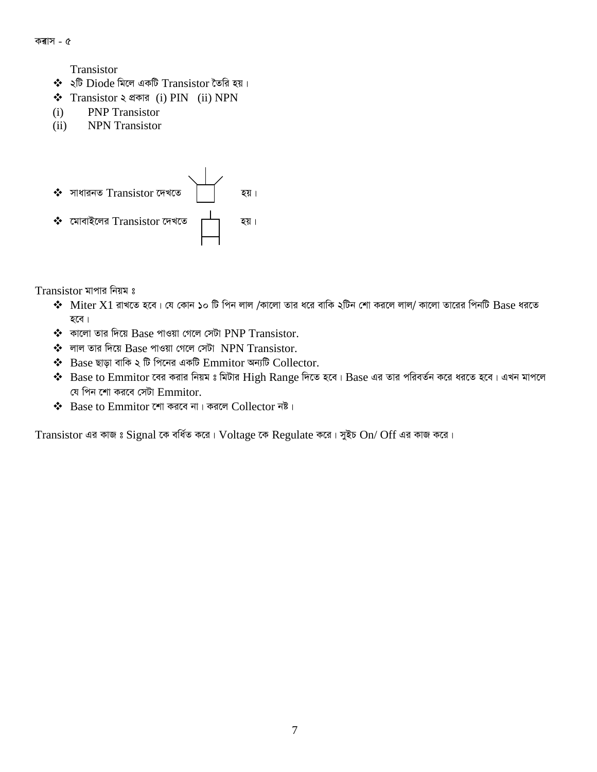Transistor

- $\clubsuit$  ২টি Diode মিলে একটি Transistor তৈরি হয়।
- $\triangleq$  Transistor ২ প্রকার (i) PIN (ii) NPN
- (i) PNP Transistor
- (ii) NPN Transistor



Transistor মাপার নিয়ম ঃ

- $\bm{\hat{X}}$   $\bm{\hat{M}}$   $\bm{\hat{M}}$  রাখতে হবে। যে কোন ১০ টি পিন লাল /কালো তার ধরে বাকি ২টিন শো করলে লাল/ কালো তারের পিনটি  $\bm{B}$ ase ধরতে হবে।
- $\clubsuit$  কালো তার দিয়ে Base পাওয়া গেলে সেটা PNP Transistor.
- $\clubsuit$  লাল তার দিয়ে Base পাওয়া গেলে সেটা NPN Transistor.
- $\triangleleft$  Base ছাড়া বাকি ২ টি পিনের একটি Emmitor অন্যটি Collector.
- $\clubsuit$  Base to Emmitor বের করার নিয়ম ঃ মিটার High Range দিতে হবে। Base এর তার পরিবর্তন করে ধরতে হবে। এখন মাপলে যে পিন শো করবে সেটা  $Emmitor$ .
- $\clubsuit$  Base to Emmitor শো করবে না। করলে Collector নষ্ট।

Transistor এর কাজ ঃ Signal কে বর্ধিত করে। Voltage কে Regulate করে। সুইচ On/ Off এর কাজ করে।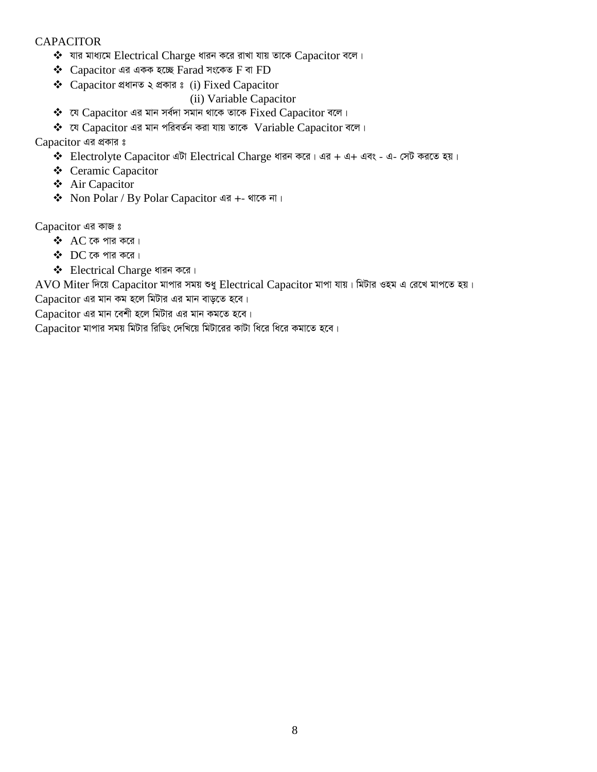#### **CAPACITOR**

- $\dots$  যার মাধ্যমে Electrical Charge ধারন করে রাখা যায় তাকে Capacitor বলে।
- $\triangle$  Capacitor এর একক হচ্ছে Farad সংকেত F বা FD
- $\triangleleft$  Capacitor প্ৰধানত ২ প্ৰকার ঃ (i) Fixed Capacitor
	- (ii) Variable Capacitor
- $\clubsuit$  যে Capacitor এর মান সর্বদা সমান থাকে তাকে Fixed Capacitor বলে।
- $\dots$  যে  $\alpha$  Capacitor এর মান পরিবর্তন করা যায় তাকে Variable Capacitor বলে।

Capacitor এর প্রকার ঃ

- $\triangleq$  Electrolyte Capacitor এটা Electrical Charge ধারন করে। এর + এ+ এবং এ- সেট করতে হয়।
- ❖ Ceramic Capacitor
- Air Capacitor
- ◆ Non Polar / By Polar Capacitor এর +- থাকে না।

Capacitor এর কাজ ঃ

- $\triangle$  AC কে পার করে।
- $\bullet$  DC কে পার করে।
- $\triangleleft$  Electrical Charge ধারন করে।

AVO Miter দিয়ে Capacitor মাপার সময় শুধু Electrical Capacitor মাপা যায়। মিটার ওহম এ রেখে মাপতে হয়।

 $Capacitor$  এর মান কম হলে মিটার এর মান বাড়তে হবে।

 $Capacitor$  এর মান বেশী হলে মিটার এর মান কমতে হবে।

Capacitor মাপার সময় মিটার রিডিং দেখিয়ে মিটারের কাটা ধিরে ধিরে কমাতে হবে।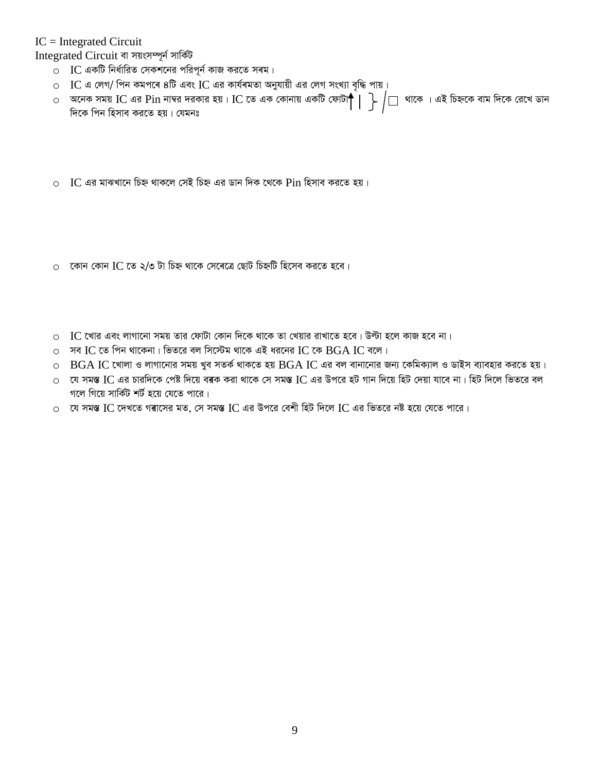#### $IC = Integrated Circuit$

Integrated Circuit বা সয়ংসম্পূৰ্ন সাৰ্কিট

- $\circ$  IC একটি নির্ধারিত সেকশনের পরিপূর্ন কাজ করতে সৰম।
- $\circ$  IC এ লেগ/ পিন কমপৰে ৪টি এবং IC এর কার্যৰমতা অনুযায়ী এর লেগ সংখ্যা বৃদ্ধি পায়।
- ০ অনেক সময় IC এর Pin নাম্বর দরকার হয়। IC তে এক কোনায় একটি ফোটা $\bigcap^{\sim}$  |  $\bigcap$  | থাকে । এই চিহ্নকে বাম দিকে রেখে ডান দিকে পিন হিসাব করতে হয়। যেমনঃ
- $\circ$  IC এর মাঝখানে চিহ্ন থাকলে সেই চিহ্ন এর ডান দিক থেকে Pin হিসাব করতে হয়।
- $\circ$  কোন কোন IC তে ২/৩ টা চিহ্ন থাকে সেৰেত্ৰে ছোট চিহ্নটি হিসেব করতে হবে।
- $\circ$   $\,$  IC খোর এবং লাগানো সময় তার ফোটা কোন দিকে থাকে তা খেয়ার রাখাতে হবে। উল্টা হলে কাজ হবে না।
- $\circ$  সব IC তে পিন থাকেনা। ভিতরে বল সিস্টেম থাকে এই ধরনের IC কে BGA IC বলে।
- $\circ$  BGA IC খোলা ও লাগানোর সময় খুব সতর্ক থাকতে হয় BGA IC এর বল বানানোর জন্য কেমিক্যাল ও ডাইস ব্যাবহার করতে হয়।
- $\circ$  যে সমস্ত IC এর চারদিকে পেষ্ট দিয়ে বৰক করা থাকে সে সমস্ত IC এর উপরে হট গান দিয়ে হিট দেয়া যাবে না। হিট দিলে ভিতরে বল গলে গিয়ে সার্কিট শর্ট হয়ে যেতে পারে।
- $\circ$  যে সমস্ত IC দেখতে গৰাসের মত, সে সমস্ত IC এর উপরে বেশী হিট দিলে IC এর ভিতরে নষ্ট হয়ে যেতে পারে।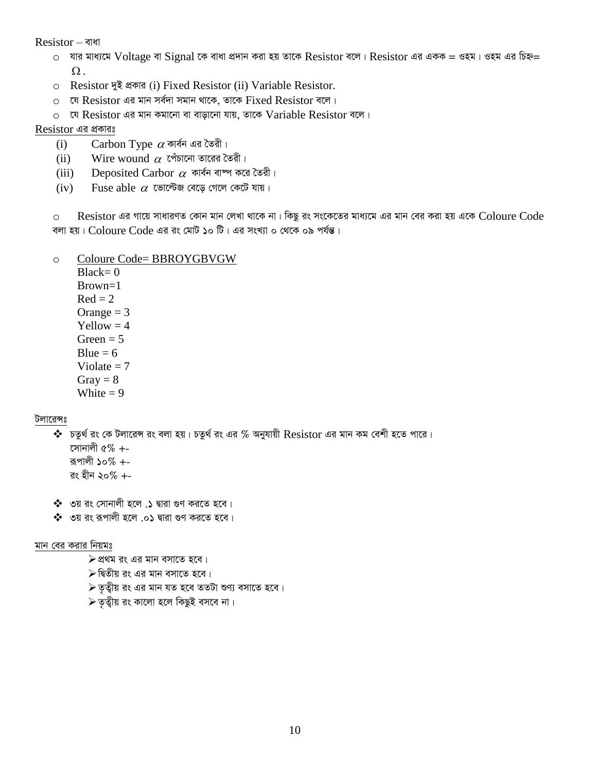Resistor – বাধা

- $\circ$  যার মাধ্যমে Voltage বা Signal কে বাধা প্রদান করা হয় তাকে Resistor বলে। Resistor এর একক = ওহম। ওহম এর চিহ্ন=  $\Omega$ .
- o Resistor দুই প্ৰকাৱ (i) Fixed Resistor (ii) Variable Resistor.
- ০ যে Resistor এর মান সর্বদা সমান থাকে, তাকে Fixed Resistor বলে।
- ০ যে Resistor এর মান কমানো বা বাড়ানো যায়, তাকে Variable Resistor বলে।

#### Resistor এর প্রকারঃ

- $\alpha$ ফা $\alpha$  বার্বন এর তৈরী।  $(i)$
- Wire wound  $\alpha$  পেঁচানো তারের তৈরী।  $(ii)$
- Deposited Carbor  $\alpha$  কাৰ্বন বাম্প করে তৈরী।  $(iii)$
- Fuse able  $\alpha$  ভোল্টেজ বেড়ে গেলে কেটে যায়।  $(iv)$

 $\,$ Resistor এর গায়ে সাধারণত কোন মান লেখা থাকে না। কিছু রং সংকেতের মাধ্যমে এর মান বের করা হয় একে  $\,$  Coloure  $\,$  Code  $\Omega$ বলা হয়। Coloure Code এর রং মোট ১০ টি। এর সংখ্যা ০ থেকে ০৯ পর্যন্ত।

#### Coloure Code= BBROYGBVGW  $\circ$

 $Black = 0$  $Brown=1$  $Red = 2$ Orange  $=$  3  $Yellow = 4$ Green  $= 5$ Blue =  $6$ Violate  $= 7$ Gray =  $8$ White  $= 9$ 

#### টলারেন্সঃ

 $\bm{\hat{}}$  চতুর্থ রং কে টলারেন্স রং বলা হয়। চতুর্থ রং এর % অনুযায়ী  $\text{Resistor}$  এর মান কম বেশী হতে পারে। সোনালী ৫%  $+$ -রূপালী ১০% +-রং হীন ২০% +-

- $\clubsuit$  ৩য় রং সোনালী হলে .১ দ্বারা গুণ করতে হবে।
- $\clubsuit$  ৩য় রং রূপালী হলে .০১ দ্বারা গুণ করতে হবে।

#### মান বের করার নিয়মঃ

- $\triangleright$ প্রথম রং এর মান বসাতে হবে।
- $\triangleright$  দ্বিতীয় রং এর মান বসাতে হবে।
- $\triangleright$  তৃত্বীয় রং এর মান যত হবে ততটা শুণ্য বসাতে হবে।
- $\triangleright$  তৃত্বীয় রং কালো হলে কিছুই বসবে না।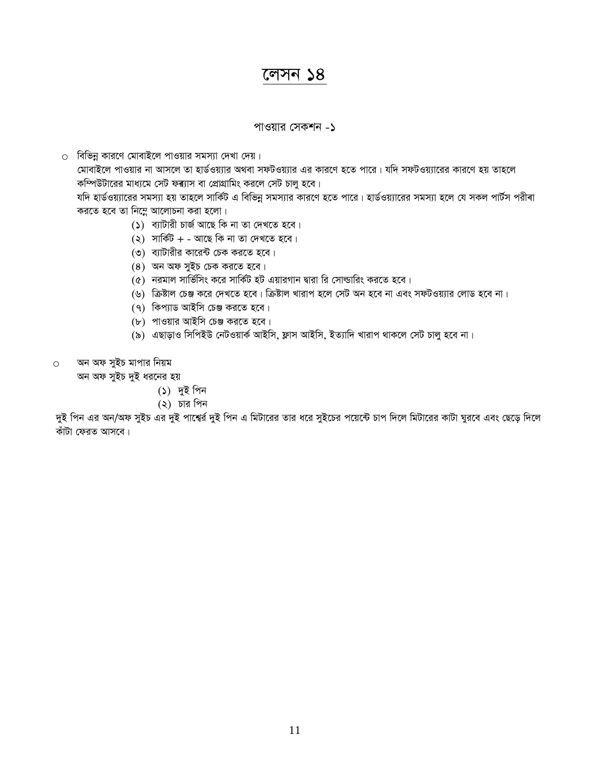### লেসন  $\overline{\triangle}8$

#### পাওয়ার সেকশন -১

 $\circ$  বিভিন্ন কারণে মোবাইলে পাওয়ার সমস্যা দেখা দেয়।

মোবাইলে পাওয়ার না আসলে তা হার্ডওয়্যার অথবা সফটওয়্যার এর কারণে হতে পারে। যদি সফটওয়্যারের কারণে হয় তাহলে কম্পিউটারের মাধ্যমে সেট ফৰ্যাস বা প্রোগ্রামিং করলে সেট চালু হবে।

যদি হার্ডওয়্যারের সমস্যা হয় তাহলে সার্কিট এ বিভিন্ন সমস্যার কারণে হতে পারে। হার্ডওয়্যারের সমস্যা হলে যে সকল পার্টস পরীৰা করতে হবে তা নিম্নে আলোচনা করা হলো।

- $(5)$  ব্যাটারী চার্জ আছে কি না তা দেখতে হবে।
- $(2)$  সার্কিট + আছে কি না তা দেখতে হবে।
- $(0)$  ব্যাটারীর কারেন্ট চেক করতে হবে।
- $(8)$  অন অফ সুইচ চেক করতে হবে।
- $(6)$  নরমাল সার্ভিসিং করে সার্কিট হট এয়ারগান দ্বারা রি সোল্ডারিং করতে হবে।
- (৬) ক্রিষ্টাল চেঞ্জ করে দেখতে হবে। ক্রিষ্টাল খারাপ হলে সেট অন হবে না এবং সফটওয়্যার লোড হবে না।
- (৭) কিপ্যাড আইসি চেঞ্জ করতে হবে।
- (৮) পাওয়ার আইসি চেঞ্জ করতে হবে।
- (৯) এছাড়াও সিপিইউ নেটওয়ার্ক আইসি, ফ্লাস আইসি, ইত্যাদি খারাপ থাকলে সেট চালু হবে না।
- o অন অফ সুইচ মাপার নিয়ম

অন অফ সুইচ দুই ধরনের হয়

- (১) দুই পিন
- $(2)$  চার পিন

দুই পিন এর অন/অফ সুইচ এর দুই পাশ্বের্র দুই পিন এ মিটারের তার ধরে সুইচের পয়েন্টে চাপ দিলে মিটারের কাটা ঘুরবে এবং ছেড়ে দিলে কাঁটা ফেরত আসবে।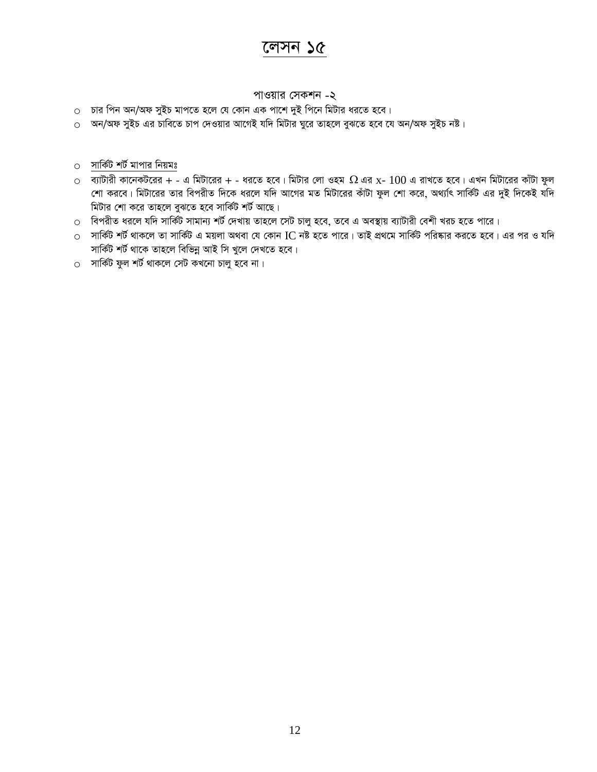# লেসন ১৫

#### পাওয়ার সেকশন -২

- ০ চার পিন অন/অফ সুইচ মাপতে হলে যে কোন এক পাশে দুই পিনে মিটার ধরতে হবে।
- ০ অন/অফ সুইচ এর চাবিতে চাপ দেওয়ার আগেই যদি মিটার ঘুরে তাহলে বুঝতে হবে যে অন/অফ সুইচ নষ্ট।
- ০ সার্কিট শর্ট মাপার নিয়মঃ
- $\,\circ$  ব্যাটারী কানেকটরের + এ মিটারের + ধরতে হবে। মিটার লো ওহম  $\,\Omega$  এর x-  $100$  এ রাখতে হবে। এখন মিটারের কাঁটা ফুল <u>শো করবে। মিটারের তার বিপরীত দিকে ধরলে যদি আগের মত মিটারের কাঁটা ফুল শো করে, অথ্যাৎ সার্কিট এর দুই দিকেই যদি</u> মিটার শো করে তাহলে বুঝতে হবে সার্কিট শর্ট আছে।
- ০ বিপরীত ধরলে যদি সার্কিট সামান্য শর্ট দেখায় তাহলে সেট চালু হবে, তবে এ অবস্থায় ব্যাটারী বেশী খরচ হতে পারে।
- $\,\circ$  সার্কিট শর্ট থাকলে তা সার্কিট এ ময়লা অথবা যে কোন IC নষ্ট হতে পারে। তাই প্রথমে সার্কিট পরিষ্কার করতে হবে। এর পর ও যদি সার্কিট শর্ট থাকে তাহলে বিভিন্ন আই সি খুলে দেখতে হবে।
- $\circ$  সার্কিট ফুল শর্ট থাকলে সেট কখনো চালু হবে না।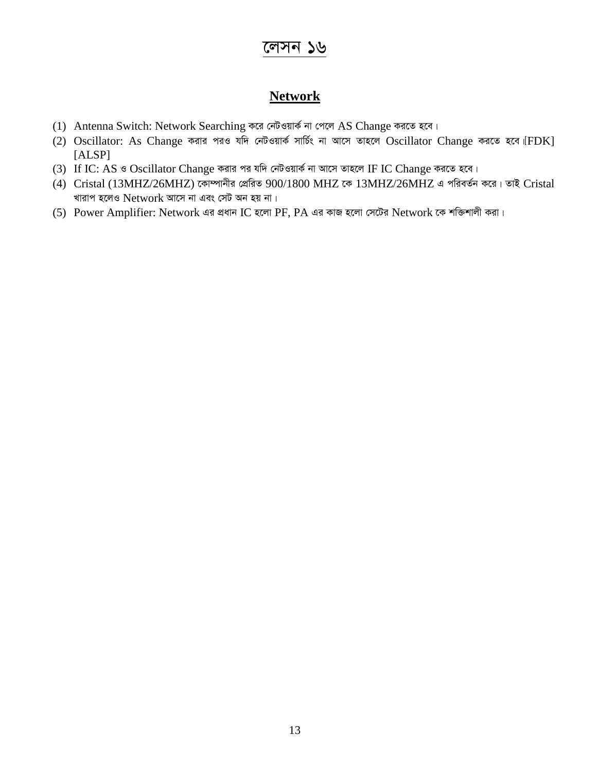## লেসন ১৬

### **Network**

- (1) Antenna Switch: Network Searching করে নেটওয়ার্ক না পেলে AS Change করতে হবে।
- (2) Oscillator: As Change করার পরও যদি নেটওয়ার্ক সার্চিং না আসে তাহলে Oscillator Change করতে হবে [FDK] [ALSP]
- (3) If IC: AS ও Oscillator Change করার পর যদি নেটওয়ার্ক না আসে তাহলে IF IC Change করতে হবে।
- (4) Cristal (13MHZ/26MHZ) কোম্পানীর প্রেরিত 900/1800 MHZ কে 13MHZ/26MHZ এ পরিবর্তন করে। তাই Cristal খারাপ হলেও  $\rm Network$  আসে না এবং সেট অন হয় না।
- (5) Power Amplifier: Network এর প্রধান IC হলো PF, PA এর কাজ হলো সেটের Network কে শক্তিশালী করা।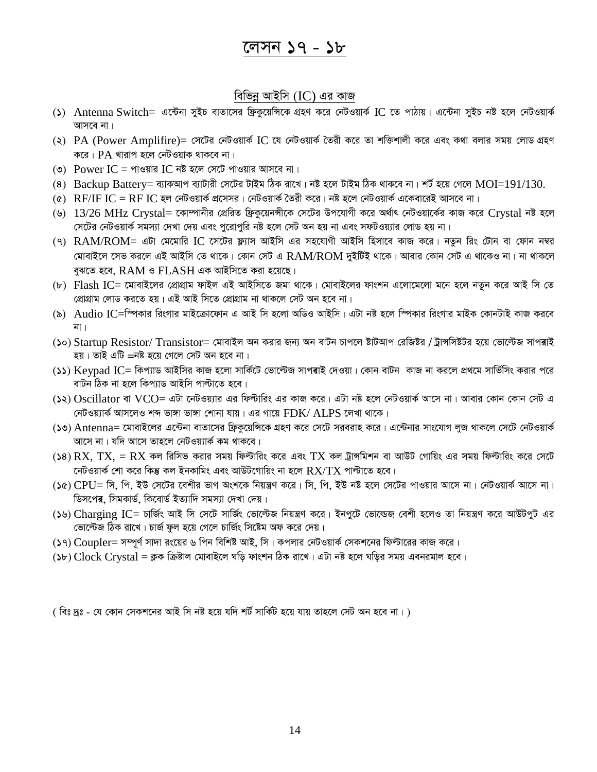### বিভিন্ন আইসি (IC) এর কাজ

- (5) Antenna Switch= এন্টেনা সুইচ বাতাসের ফ্রিকুয়েন্সিকে গ্রহণ করে নেটওয়ার্ক IC তে পাঠায়। এন্টেনা সুইচ নষ্ট হলে নেটওয়ার্ক আসবে না।
- (২) PA (Power Amplifire)= সেটের নেটওয়ার্ক IC যে নেটওয়ার্ক তৈরী করে তা শক্তিশালী করে এবং কথা বলার সময় লোড গ্রহণ করে।  $PA$  খারাপ হলে নেটওয়াক থাকবে না।
- (৩) Power IC = পাওয়ার IC নষ্ট হলে সেটে পাওয়ার আসবে না।
- (8) Backup Battery= ব্যাকআপ ব্যাটারী সেটের টাইম ঠিক রাখে। নষ্ট হলে টাইম ঠিক থাকবে না। শর্ট হয়ে গেলে  $MOI=191/130$ .
- $(6)$  RF/IF IC = RF IC হল নেটওয়ার্ক প্রসেসর। নেটওয়ার্ক তৈরী করে। নষ্ট হলে নেটওয়ার্ক একেবারেই আসবে না।
- (৬)  $13/26$  MHz Crystal= কোম্পানীর প্রেরিত ফ্রিকুয়েনন্সীকে সেটের উপযোগী করে অর্থাৎ নেটওয়ার্কের কাজ করে Crystal নষ্ট হলে সেটের নেটওয়ার্ক সমস্যা দেখা দেয় এবং পুরোপুরি নষ্ট হলে সেট অন হয় না এবং সফটওয়্যার লোড হয় না।
- (9)  $RAM/ROM =$  এটা মেমোরি IC সেটের ফ্ল্যাস আইসি এর সহযোগী আইসি হিসাবে কাজ করে। নতুন রিং টোন বা ফোন নম্বর মোবাইলে সেভ করলে এই আইসি তে থাকে। কোন সেট এ  ${\rm RAM}/{\rm ROM}$  দুইটিই থাকে। আবার কোন সেট এ থাকেও না। না থাকলে বুঝতে হবে,  $RAM \circ FLASH$  এক আইসিতে করা হয়েছে।
- (৮) Flash IC= মোবাইলের প্রোগ্রাম ফাইল এই আইসিতে জমা থাকে। মোবাইলের ফাংশন এলোমেলো মনে হলে নতুন করে আই সি তে প্ৰোগ্ৰাম লোড করতে হয়। এই আই সিতে প্ৰোগ্ৰাম না থাকলে সেট অন হবে না।
- (৯) Audio IC=স্পিকার রিংগার মাইক্রোফোন এ আই সি হলো অডিও আইসি। এটা নষ্ট হলে স্পিকার রিংগার মাইক কোনটাই কাজ করবে না ।
- (১০) Startup Resistor/ Transistor= মোবাইল অন করার জন্য অন বাটন চাপলে ষ্টাটআপ রেজিষ্টর / ট্রান্সসিষ্টটর হয়ে ভোল্টেজ সাপৰাই হয়। তাই এটি =নষ্ট হয়ে গেলে সেট অন হবে না।
- (১১) Keypad IC= কিপ্যাড আইসির কাজ হলো সার্কিটে ভোল্টেজ সাপৰাই দেওয়া। কোন বাটন কাজ না করলে প্রথমে সার্ভিসিং করার পরে বাটন ঠিক না হলে কিপ্যাড আইসি পাল্টাতে হবে।
- (১২) Oscillator বা VCO= এটা নেটওয়্যার এর ফিল্টারিং এর কাজ করে। এটা নষ্ট হলে নেটওয়ার্ক আসে না। আবার কোন কোন সেট এ নেটওয়্যার্ক আসলেও শব্দ ভাঙ্গা ভাঙ্গা শোনা যায়। এর গায়ে  ${\rm FDK}/\,{\rm ALPS}$  লেখা থাকে।
- (১৩) Antenna= মোবাইলের এন্টেনা বাতাসের ফ্রিকুয়েঙ্গিকে গ্রহণ করে সেটে সরবরাহ করে। এন্টেনার সাংযোগ লুজ থাকলে সেটে নেটওয়ার্ক আসে না। যদি আসে তাহলে নেটওয়্যার্ক কম থাকবে।
- (১৪)  $\rm{RX, \, TX, = RX}$  কল রিসিভ করার সময় ফিল্টারিং করে এবং  $\rm{TX}$  কল ট্রাঙ্গমিশন বা আউট গোয়িং এর সময় ফিল্টারিং করে সেটে নেটওয়ার্ক শো করে কিন্তু কল ইনকামিং এবং আউটগোয়িং না হলে  $\mathrm{RX}/\mathrm{T} \mathrm{X}$  পাল্টাতে হবে।
- (১৫) CPU= সি. পি. ইউ সেটের বেশীর ভাগ অংশকে নিয়ন্ত্রণ করে। সি. পি. ইউ নষ্ট হলে সেটের পাওয়ার আসে না। নেটওয়ার্ক আসে না। ডিসপেৰ, সিমকাৰ্ড, কিবোৰ্ড ইত্যাদি সমস্যা দেখা দেয়।
- (১৬) Charging IC= চাৰ্জিং আই সি সেটে সাৰ্জিং ভোল্টেজ নিয়ন্ত্ৰণ করে। ইনপুটে ভোল্ডেজ বেশী হলেও তা নিয়ন্ত্ৰণ করে আউটপুট এর ভোল্টেজ ঠিক রাখে। চার্জ ফুল হয়ে গেলে চার্জিং সিষ্টেম অফ করে দেয়।
- (১৭)  $\operatorname{Coupler}$  সম্পূর্ণ সাদা রংয়ের ৬ পিন বিশিষ্ট আই, সি। কপলার নেটওয়ার্ক সেকশনের ফিল্টারের কাজ করে।
- (১৮)  $Clock Crystal = \pi \Phi$  ক্রিষ্টাল মোবাইলে ঘড়ি ফাংশন ঠিক রাখে। এটা নষ্ট হলে ঘড়ির সময় এবনরমাল হবে।

( বিঃ দ্রঃ - যে কোন সেকশনের আই সি নষ্ট হয়ে যদি শর্ট সার্কিট হয়ে যায় তাহলে সেট অন হবে না। )